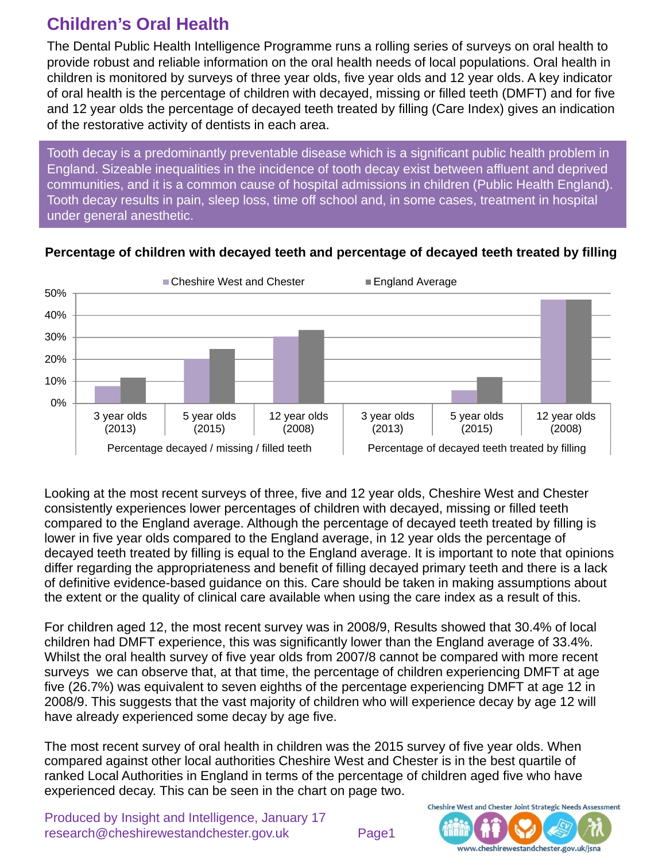# **Children's Oral Health**

The Dental Public Health Intelligence Programme runs a rolling series of surveys on oral health to provide robust and reliable information on the oral health needs of local populations. Oral health in children is monitored by surveys of three year olds, five year olds and 12 year olds. A key indicator of oral health is the percentage of children with decayed, missing or filled teeth (DMFT) and for five and 12 year olds the percentage of decayed teeth treated by filling (Care Index) gives an indication of the restorative activity of dentists in each area.

Tooth decay is a predominantly preventable disease which is a significant public health problem in England. Sizeable inequalities in the incidence of tooth decay exist between affluent and deprived communities, and it is a common cause of hospital admissions in children (Public Health England). Tooth decay results in pain, sleep loss, time off school and, in some cases, treatment in hospital under general anesthetic.



#### **Percentage of children with decayed teeth and percentage of decayed teeth treated by filling**

Looking at the most recent surveys of three, five and 12 year olds, Cheshire West and Chester consistently experiences lower percentages of children with decayed, missing or filled teeth compared to the England average. Although the percentage of decayed teeth treated by filling is lower in five year olds compared to the England average, in 12 year olds the percentage of decayed teeth treated by filling is equal to the England average. It is important to note that opinions differ regarding the appropriateness and benefit of filling decayed primary teeth and there is a lack of definitive evidence-based guidance on this. Care should be taken in making assumptions about the extent or the quality of clinical care available when using the care index as a result of this.

For children aged 12, the most recent survey was in 2008/9, Results showed that 30.4% of local children had DMFT experience, this was significantly lower than the England average of 33.4%. Whilst the oral health survey of five year olds from 2007/8 cannot be compared with more recent surveys we can observe that, at that time, the percentage of children experiencing DMFT at age five (26.7%) was equivalent to seven eighths of the percentage experiencing DMFT at age 12 in 2008/9. This suggests that the vast majority of children who will experience decay by age 12 will have already experienced some decay by age five.

The most recent survey of oral health in children was the 2015 survey of five year olds. When compared against other local authorities Cheshire West and Chester is in the best quartile of ranked Local Authorities in England in terms of the percentage of children aged five who have experienced decay. This can be seen in the chart on page two.

Produced by Insight and Intelligence, January 17 research@cheshirewestandchester.gov.uk Page1



Cheshire West and Chester Joint Strategic Needs Assessment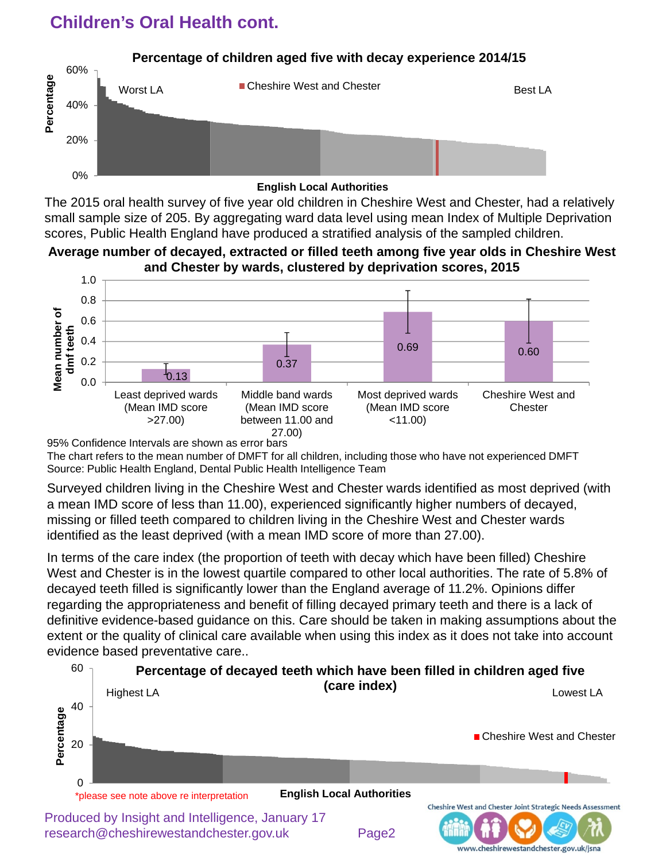# **Children's Oral Health cont.**



The 2015 oral health survey of five year old children in Cheshire West and Chester, had a relatively small sample size of 205. By aggregating ward data level using mean Index of Multiple Deprivation scores, Public Health England have produced a stratified analysis of the sampled children.

#### **Average number of decayed, extracted or filled teeth among five year olds in Cheshire West and Chester by wards, clustered by deprivation scores, 2015**



95% Confidence Intervals are shown as error bars

The chart refers to the mean number of DMFT for all children, including those who have not experienced DMFT Source: Public Health England, Dental Public Health Intelligence Team

Surveyed children living in the Cheshire West and Chester wards identified as most deprived (with a mean IMD score of less than 11.00), experienced significantly higher numbers of decayed, missing or filled teeth compared to children living in the Cheshire West and Chester wards identified as the least deprived (with a mean IMD score of more than 27.00).

In terms of the care index (the proportion of teeth with decay which have been filled) Cheshire West and Chester is in the lowest quartile compared to other local authorities. The rate of 5.8% of decayed teeth filled is significantly lower than the England average of 11.2%. Opinions differ regarding the appropriateness and benefit of filling decayed primary teeth and there is a lack of definitive evidence-based guidance on this. Care should be taken in making assumptions about the extent or the quality of clinical care available when using this index as it does not take into account evidence based preventative care..



Produced by Insight and Intelligence, January 17 research@cheshirewestandchester.gov.uk Page2